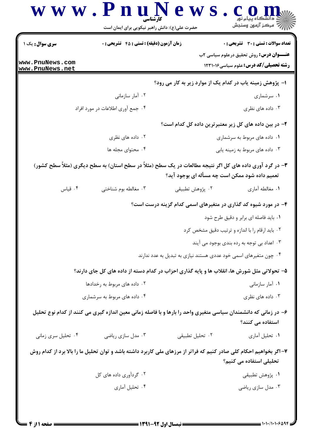| سنكز آزمون وسنجش<br>حضرت علی(ع): دانش راهبر نیکویی برای ایمان است |                                                                                                                     |                                                |                                                                                                |  |  |
|-------------------------------------------------------------------|---------------------------------------------------------------------------------------------------------------------|------------------------------------------------|------------------------------------------------------------------------------------------------|--|--|
| <b>سری سوال :</b> یک ۱                                            | <b>زمان آزمون (دقیقه) : تستی : 45 گشریحی : 0</b>                                                                    |                                                | <b>تعداد سوالات : تستی : 30 ٪ تشریحی : 0</b>                                                   |  |  |
| www.PnuNews.com<br>www.PnuNews.net                                |                                                                                                                     |                                                | <b>عنـــوان درس:</b> روش تحقیق درعلوم سیاسی ۲ب<br><b>رشته تحصیلی/کد درس:</b> علوم سیاسی12311 1 |  |  |
|                                                                   |                                                                                                                     |                                                | ا- پژوهش زمینه یاب در کدام یک از موارد زیر به کار می رود؟                                      |  |  |
|                                                                   | ۰۲ آمار سازمانی                                                                                                     |                                                | ۰۱ سرشماری                                                                                     |  |  |
|                                                                   | ۰۴ جمع آوري اطلاعات در مورد افراد                                                                                   |                                                | ۰۳ داده های نظری                                                                               |  |  |
|                                                                   |                                                                                                                     |                                                | ۲– در بین داده های کل زیر معتبرترین داده کل کدام است؟                                          |  |  |
|                                                                   | ۰۲ داده های نظری                                                                                                    | ۰۱ داده های مربوط به سرشماری                   |                                                                                                |  |  |
|                                                                   | ۰۴ محتوای مجله ها                                                                                                   | ۰۳ داده های مربوط به زمینه یابی                |                                                                                                |  |  |
|                                                                   | ۳- در گرد آوری داده های کل اگر نتیجه مطالعات در یک سطح (مثلاً در سطح استان) به سطح دیگری (مثلاً سطح کشور)           | تعمیم داده شود ممکن است چه مسأله ای بوجود آید؟ |                                                                                                |  |  |
| ۰۴ قياس                                                           | ۰۳ مغالطه بوم شناختی                                                                                                | ۰۲ پژوهش تطبیقی                                | ٠١ مغالطه أماري                                                                                |  |  |
|                                                                   |                                                                                                                     |                                                | ۴- در مورد شیوه کد گذاری در متغیرهای اسمی کدام گزینه درست است؟                                 |  |  |
|                                                                   |                                                                                                                     |                                                | ۰۱ باید فاصله ای برابر و دقیق طرح شود                                                          |  |  |
|                                                                   |                                                                                                                     |                                                | ۰۲ باید ارقام را با اندازه و ترتیب دقیق مشخص کرد                                               |  |  |
|                                                                   |                                                                                                                     |                                                | ۰۳ اعداد بی توجه به رده بندی بوجود می ایند                                                     |  |  |
|                                                                   |                                                                                                                     |                                                | ۰۴ چون متغیرهای اسمی خود عددی هستند نیازی به تبدیل به عدد ندارند                               |  |  |
|                                                                   | ۵- تحولاتی مثل شورش ها، انقلاب ها و پایه گذاری احزاب در کدام دسته از داده های کل جای دارند؟                         |                                                |                                                                                                |  |  |
| ۰۲ داده های مربوط به رخدادها                                      |                                                                                                                     |                                                | ۰۱ آمار سازمانی                                                                                |  |  |
| ۰۴ داده های مربوط به سرشماری                                      |                                                                                                                     |                                                | ۰۳ داده های نظری                                                                               |  |  |
|                                                                   | ۶– در زمانی که دانشمندان سیاسی متغیری واحد را بارها و با فاصله زمانی معین اندازه گیری می کنند از کدام نوع تحلیل     |                                                | استفاده می کنند؟                                                                               |  |  |
| ۰۴ تحلیل سری زمانی                                                | ۰۳ مدل سازی ریاضی                                                                                                   | ٠٢ تحليل تطبيقى                                | ٠١ تحليل أماري                                                                                 |  |  |
|                                                                   | ۷- اگر بخواهیم احکام کلی صادر کنیم که فراتر از مرزهای ملی کاربرد داشته باشد و توان تحلیل ما را بالا برد از کدام روش |                                                | تحلیلی استفاده می کنیم؟                                                                        |  |  |
|                                                                   | ۰۲ گردآوری داده های کل                                                                                              |                                                | ٠١. پژوهش تطبيقي                                                                               |  |  |
|                                                                   | ۰۴ تحلیل آماری                                                                                                      |                                                | ۰۳ مدل سازی ریاضی                                                                              |  |  |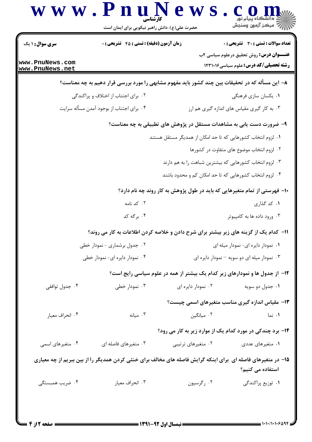| <b>سری سوال : ۱ یک</b>             | <b>زمان آزمون (دقیقه) : تستی : 45 قشریحی : 0</b>                                                             |                                    | <b>تعداد سوالات : تستی : 30 ٪ تشریحی : 0</b>                                                   |
|------------------------------------|--------------------------------------------------------------------------------------------------------------|------------------------------------|------------------------------------------------------------------------------------------------|
| www.PnuNews.com<br>www.PnuNews.net |                                                                                                              |                                    | <b>عنـــوان درس:</b> روش تحقیق درعلوم سیاسی ۲ب<br><b>رشته تحصیلی/کد درس:</b> علوم سیاسی1۲۳۱۰۱۶ |
|                                    | ۸– این مسأله که در تحقیقات بین چند کشور باید مفهوم مشابهی را مورد بررسی قرار دهیم به چه معناست؟              |                                    |                                                                                                |
|                                    | ۰۲ برای اجتناب از اختلاف و پراکندگی                                                                          |                                    | ۰۱ يکسان سازي فرهنگي                                                                           |
|                                    | ۰۴ برای اجتناب از بوجود آمدن مسأله سرایت                                                                     |                                    | ۰۳ به کار گیری مقیاس های اندازه گیری هم ارز                                                    |
|                                    | ۹- ضرورت دست یابی به مشاهدات مستقل در پژوهش های تطبیقی به چه معناست؟                                         |                                    |                                                                                                |
|                                    |                                                                                                              |                                    | ۱. لزوم انتخاب کشورهایی که تا حد امکان از همدیگر مستقل هستند                                   |
|                                    |                                                                                                              |                                    | ۰۲ لزوم انتخاب موضوع های متفاوت در کشورها                                                      |
|                                    |                                                                                                              |                                    | ۰۳ لزوم انتخاب کشورهایی که بیشترین شباهت را به هم دارند                                        |
|                                    |                                                                                                              |                                    | ۰۴ لزوم انتخاب کشورهایی که تا حد امکان کم و محدود باشند                                        |
|                                    | ۱۰- فهرستی از تمام متغیرهایی که باید در طول پژوهش به کار روند چه نام دارد؟                                   |                                    |                                                                                                |
|                                    | ۰۲ کد نامه                                                                                                   |                                    | ۰۱ کد گذاری                                                                                    |
|                                    | ۰۴ برگه کد                                                                                                   |                                    | ۰۳ ورود داده ها به کامپیوتر                                                                    |
|                                    | 11– کدام یک از گزینه های زیر بیشتر برای شرح دادن و خلاصه کردن اطلاعات به کار می روند؟                        |                                    |                                                                                                |
| ۲. جدول برشماری - نمودار خطی       |                                                                                                              | ٠١ نمودار دايره اي- نمودار ميله اي |                                                                                                |
| ۰۴ نمودار دایره ای- نمودار خطی     |                                                                                                              |                                    | ۰۳ نمودار میله ای دو سویه - نمودار دایره ای                                                    |
|                                    | ۱۲- از جدول ها و نمودارهای زیر کدام یک بیشتر از همه در علوم سیاسی رایج است؟                                  |                                    |                                                                                                |
| ۰۴ جدول توافقي                     | ۰۳ نمودار خطی                                                                                                | ۰۲ نمودار دایره ای                 | ۰۱ جدول دو سويه                                                                                |
|                                    |                                                                                                              |                                    | ۱۳– مقیاس اندازه گیری مناسب متغیرهای اسمی چیست؟                                                |
| ۰۴ انحراف معيار                    | ۰۳ میانه                                                                                                     | ۰۲ میانگین                         | ۰۱ نما                                                                                         |
|                                    |                                                                                                              |                                    | <b>۱۴</b> - برد چندکی در مورد کدام یک از موارد زیر به کار می رود؟                              |
| ۰۴ متغیرهای اسمی                   | ۰۳ متغیرهای فاصله ای                                                                                         | ۰۲ متغیرهای ترتیبی                 | ۰۱ متغیرهای عددی                                                                               |
|                                    | ۱۵– در متغیرهای فاصله ای برای اینکه گرایش فاصله های مخالف برای خنثی کردن همدیگر را از بین ببریم از چه معیاری |                                    | استفاده می کنیم؟                                                                               |
| ۰۴ ضریب همبستگی                    | ۰۳ انحراف معيار                                                                                              | ۰۲ رگرسیون                         | ۰۱ توزیع پراکندگی                                                                              |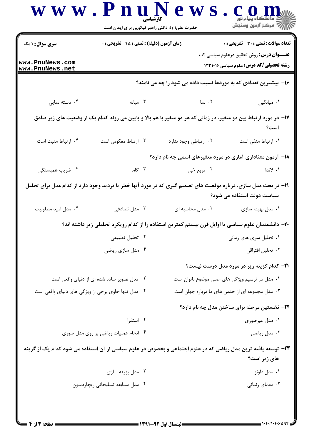| <b>سری سوال :</b> ۱ یک                             | <b>زمان آزمون (دقیقه) : تستی : 45 تشریحی : 0</b> |                       | <b>تعداد سوالات : تستی : 30 ٪ تشریحی : 0</b>                                                                                                  |  |
|----------------------------------------------------|--------------------------------------------------|-----------------------|-----------------------------------------------------------------------------------------------------------------------------------------------|--|
| www.PnuNews.com<br>www.PnuNews.net                 |                                                  |                       | <b>عنـــوان درس:</b> روش تحقیق درعلوم سیاسی ۲ب<br><b>رشته تحصیلی/کد درس:</b> علوم سیاسی1۲۳۱۰۱۶                                                |  |
|                                                    |                                                  |                       | ۱۶- بیشترین تعدادی که به موردها نسبت داده می شود را چه می نامند؟                                                                              |  |
| ۰۴ دسته نمایی                                      | ۰۳ میانه $\cdot$                                 | ۰۲ نما                | ٠١. ميانگين                                                                                                                                   |  |
|                                                    |                                                  |                       | ۱۷– در مورد ارتباط بین دو متغیر، در زمانی که هر دو متغیر با هم بالا و پایین می روند کدام یک از وضعیت های زیر صادق<br>است؟                     |  |
| ۰۴ ارتباط مثبت است                                 | ۰۳ ارتباط معکوس است                              | ۰۲ ارتباطی وجود ندارد | ٠١. ارتباط منفى است                                                                                                                           |  |
|                                                    |                                                  |                       | ۱۸– آزمون معناداری آماری در مورد متغیرهای اسمی چه نام دارد؟                                                                                   |  |
| ۰۴ ضریب همبستگی                                    | ۰۳ گاما                                          | ۰۲ مربع خی            | ۰۱ لاندا                                                                                                                                      |  |
|                                                    |                                                  |                       | ۱۹- در بحث مدل سازی، درباره موقعیت های تصمیم گیری که در مورد آنها خطر یا تردید وجود دارد از کدام مدل برای تحلیل<br>سیاست دولت استفاده می شود؟ |  |
| ۰۴ مدل امید مطلوبیت                                | ۰۳ مدل تصادفی                                    | ۰۲ مدل محاسبه ای      | ۰۱ مدل بهينه سازي                                                                                                                             |  |
|                                                    |                                                  |                       | +۲- دانشمندان علوم سیاسی تا اوایل قرن بیستم کمترین استفاده را از کدام رویکرد تحلیلی زیر داشته اند؟                                            |  |
|                                                    | ۰۲ تحلیل تطبیقی                                  |                       | ۰۱ تحلیل سری های زمانی                                                                                                                        |  |
|                                                    | ۰۴ مدل سازي رياضي                                |                       | ۰۳ تحلیل افتراقی                                                                                                                              |  |
|                                                    |                                                  |                       | <b>۲۱</b> – کدام گزینه زیر در مورد مدل درست نیست <u>؟</u>                                                                                     |  |
|                                                    | ۰۲ مدل تصویر ساده شده ای از دنیای واقعی است      |                       | ۰۱ مدل در ترسیم ویژگی های اصلی موضوع ناتوان است                                                                                               |  |
| ۰۴ مدل تنها حاوی برخی از ویژگی های دنیای واقعی است |                                                  |                       | ۰۳ مدل مجموعه ای از حدس های ما درباره جهان است                                                                                                |  |
|                                                    |                                                  |                       | ۲۲- نخستین مرحله برای ساختن مدل چه نام دارد؟                                                                                                  |  |
|                                                    | ۰۲ استقرا                                        |                       | ۰۱ مدل غیرصوری                                                                                                                                |  |
| ۰۴ انجام عملیات ریاضی بر روی مدل صوری              |                                                  |                       | ۰۳ مدل ریاضی                                                                                                                                  |  |
|                                                    |                                                  |                       | ۲۳– توسعه یافته ترین مدل ریاضی که در علوم اجتماعی و بخصوص در علوم سیاسی از آن استفاده می شود کدام یک از گزینه<br>های زیر است؟                 |  |
|                                                    | ۰۲ مدل بهینه سازی                                |                       | ۰۱ مدل داونز                                                                                                                                  |  |
| ۰۴ مدل مسابقه تسلیحاتی ریچاردسون                   |                                                  |                       | ۰۳ معمای زندانی                                                                                                                               |  |